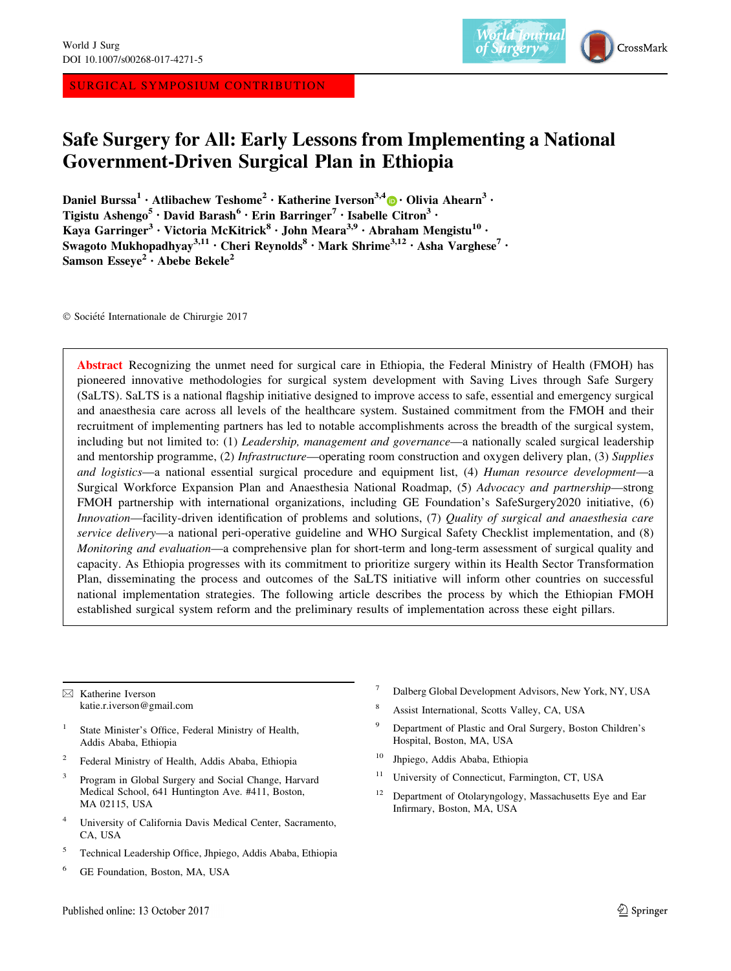SURGICAL SYMPOSIUM CONTRIBUTION



# Safe Surgery for All: Early Lessons from Implementing a National Government-Driven Surgical Plan in Ethiopia

Daniel Burssa<sup>1</sup> [•](http://orcid.org/0000-0002-5261-8027) Atlibachew Teshome<sup>2</sup> • Katherine Iverson<sup>3,4</sup> • Olivia Ahearn<sup>3</sup> • Tigistu Ashengo<sup>5</sup> · David Barash<sup>6</sup> · Erin Barringer<sup>7</sup> · Isabelle Citron<sup>3</sup> · Kaya Garringer<sup>3</sup> • Victoria McKitrick<sup>8</sup> • John Meara<sup>3,9</sup> • Abraham Mengistu<sup>10</sup> • Swagoto Mukhopadhyay<sup>3,11</sup> · Cheri Reynolds<sup>8</sup> · Mark Shrime<sup>3,12</sup> · Asha Varghese<sup>7</sup> · Samson Esseye<sup>2</sup> · Abebe Bekele<sup>2</sup>

 $© Société Internationale de Chirurgie 2017$ 

Abstract Recognizing the unmet need for surgical care in Ethiopia, the Federal Ministry of Health (FMOH) has pioneered innovative methodologies for surgical system development with Saving Lives through Safe Surgery (SaLTS). SaLTS is a national flagship initiative designed to improve access to safe, essential and emergency surgical and anaesthesia care across all levels of the healthcare system. Sustained commitment from the FMOH and their recruitment of implementing partners has led to notable accomplishments across the breadth of the surgical system, including but not limited to: (1) Leadership, management and governance—a nationally scaled surgical leadership and mentorship programme, (2) *Infrastructure*—operating room construction and oxygen delivery plan, (3) Supplies and logistics—a national essential surgical procedure and equipment list, (4) Human resource development—a Surgical Workforce Expansion Plan and Anaesthesia National Roadmap, (5) Advocacy and partnership—strong FMOH partnership with international organizations, including GE Foundation's SafeSurgery2020 initiative, (6) Innovation—facility-driven identification of problems and solutions, (7) Quality of surgical and anaesthesia care service delivery—a national peri-operative guideline and WHO Surgical Safety Checklist implementation, and (8) Monitoring and evaluation—a comprehensive plan for short-term and long-term assessment of surgical quality and capacity. As Ethiopia progresses with its commitment to prioritize surgery within its Health Sector Transformation Plan, disseminating the process and outcomes of the SaLTS initiative will inform other countries on successful national implementation strategies. The following article describes the process by which the Ethiopian FMOH established surgical system reform and the preliminary results of implementation across these eight pillars.

 $\boxtimes$  Katherine Iverson katie.r.iverson@gmail.com

- State Minister's Office, Federal Ministry of Health, Addis Ababa, Ethiopia
- <sup>2</sup> Federal Ministry of Health, Addis Ababa, Ethiopia
- <sup>3</sup> Program in Global Surgery and Social Change, Harvard Medical School, 641 Huntington Ave. #411, Boston, MA 02115, USA
- <sup>4</sup> University of California Davis Medical Center, Sacramento, CA, USA
- <sup>5</sup> Technical Leadership Office, Jhpiego, Addis Ababa, Ethiopia
- <sup>6</sup> GE Foundation, Boston, MA, USA
- <sup>7</sup> Dalberg Global Development Advisors, New York, NY, USA
- <sup>8</sup> Assist International, Scotts Valley, CA, USA
- Department of Plastic and Oral Surgery, Boston Children's Hospital, Boston, MA, USA
- <sup>10</sup> Jhpiego, Addis Ababa, Ethiopia
- <sup>11</sup> University of Connecticut, Farmington, CT, USA
- <sup>12</sup> Department of Otolaryngology, Massachusetts Eye and Ear Infirmary, Boston, MA, USA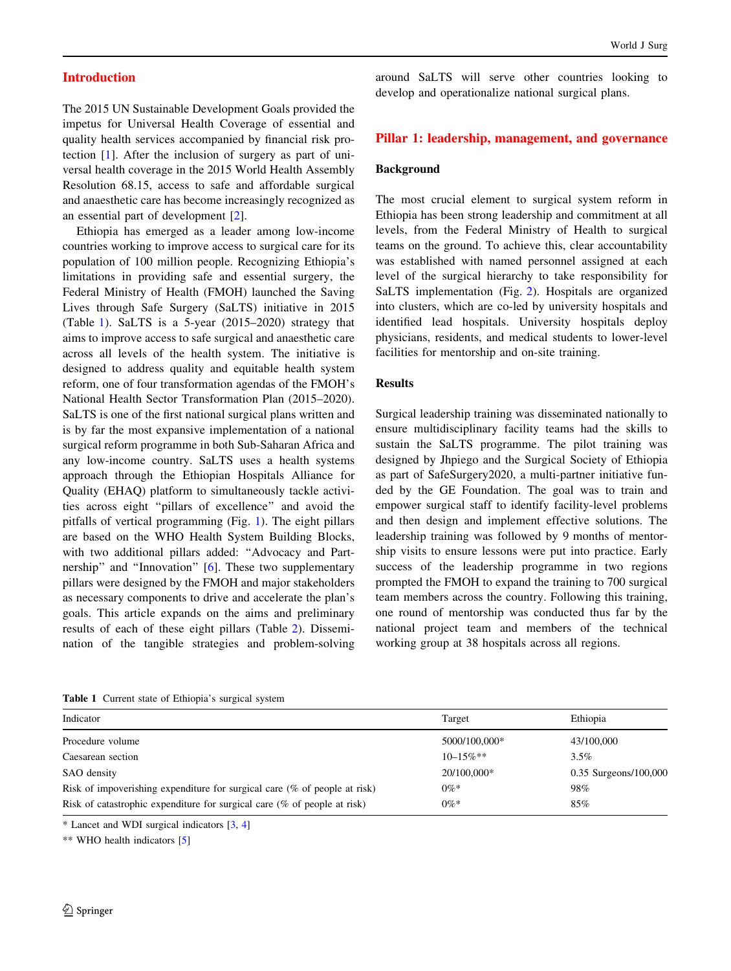#### Introduction

The 2015 UN Sustainable Development Goals provided the impetus for Universal Health Coverage of essential and quality health services accompanied by financial risk protection [[1\]](#page-7-0). After the inclusion of surgery as part of universal health coverage in the 2015 World Health Assembly Resolution 68.15, access to safe and affordable surgical and anaesthetic care has become increasingly recognized as an essential part of development [[2\]](#page-7-0).

Ethiopia has emerged as a leader among low-income countries working to improve access to surgical care for its population of 100 million people. Recognizing Ethiopia's limitations in providing safe and essential surgery, the Federal Ministry of Health (FMOH) launched the Saving Lives through Safe Surgery (SaLTS) initiative in 2015 (Table 1). SaLTS is a 5-year (2015–2020) strategy that aims to improve access to safe surgical and anaesthetic care across all levels of the health system. The initiative is designed to address quality and equitable health system reform, one of four transformation agendas of the FMOH's National Health Sector Transformation Plan (2015–2020). SaLTS is one of the first national surgical plans written and is by far the most expansive implementation of a national surgical reform programme in both Sub-Saharan Africa and any low-income country. SaLTS uses a health systems approach through the Ethiopian Hospitals Alliance for Quality (EHAQ) platform to simultaneously tackle activities across eight ''pillars of excellence'' and avoid the pitfalls of vertical programming (Fig. [1\)](#page-2-0). The eight pillars are based on the WHO Health System Building Blocks, with two additional pillars added: "Advocacy and Part-nership" and "Innovation" [\[6](#page-7-0)]. These two supplementary pillars were designed by the FMOH and major stakeholders as necessary components to drive and accelerate the plan's goals. This article expands on the aims and preliminary results of each of these eight pillars (Table [2\)](#page-3-0). Dissemination of the tangible strategies and problem-solving

around SaLTS will serve other countries looking to develop and operationalize national surgical plans.

#### Pillar 1: leadership, management, and governance

#### Background

The most crucial element to surgical system reform in Ethiopia has been strong leadership and commitment at all levels, from the Federal Ministry of Health to surgical teams on the ground. To achieve this, clear accountability was established with named personnel assigned at each level of the surgical hierarchy to take responsibility for SaLTS implementation (Fig. [2](#page-4-0)). Hospitals are organized into clusters, which are co-led by university hospitals and identified lead hospitals. University hospitals deploy physicians, residents, and medical students to lower-level facilities for mentorship and on-site training.

#### Results

Surgical leadership training was disseminated nationally to ensure multidisciplinary facility teams had the skills to sustain the SaLTS programme. The pilot training was designed by Jhpiego and the Surgical Society of Ethiopia as part of SafeSurgery2020, a multi-partner initiative funded by the GE Foundation. The goal was to train and empower surgical staff to identify facility-level problems and then design and implement effective solutions. The leadership training was followed by 9 months of mentorship visits to ensure lessons were put into practice. Early success of the leadership programme in two regions prompted the FMOH to expand the training to 700 surgical team members across the country. Following this training, one round of mentorship was conducted thus far by the national project team and members of the technical working group at 38 hospitals across all regions.

Table 1 Current state of Ethiopia's surgical system

| Indicator                                                                    | Target         | Ethiopia              |
|------------------------------------------------------------------------------|----------------|-----------------------|
| Procedure volume                                                             | 5000/100,000*  | 43/100,000            |
| Caesarean section                                                            | $10 - 15\%$ ** | $3.5\%$               |
| SAO density                                                                  | 20/100.000*    | 0.35 Surgeons/100,000 |
| Risk of impoverishing expenditure for surgical care $(\%$ of people at risk) | $0\%*$         | 98%                   |
| Risk of catastrophic expenditure for surgical care $(\%$ of people at risk)  | $0\%*$         | 85%                   |

\* Lancet and WDI surgical indicators [[3](#page-7-0), [4](#page-7-0)]

\*\* WHO health indicators [\[5](#page-7-0)]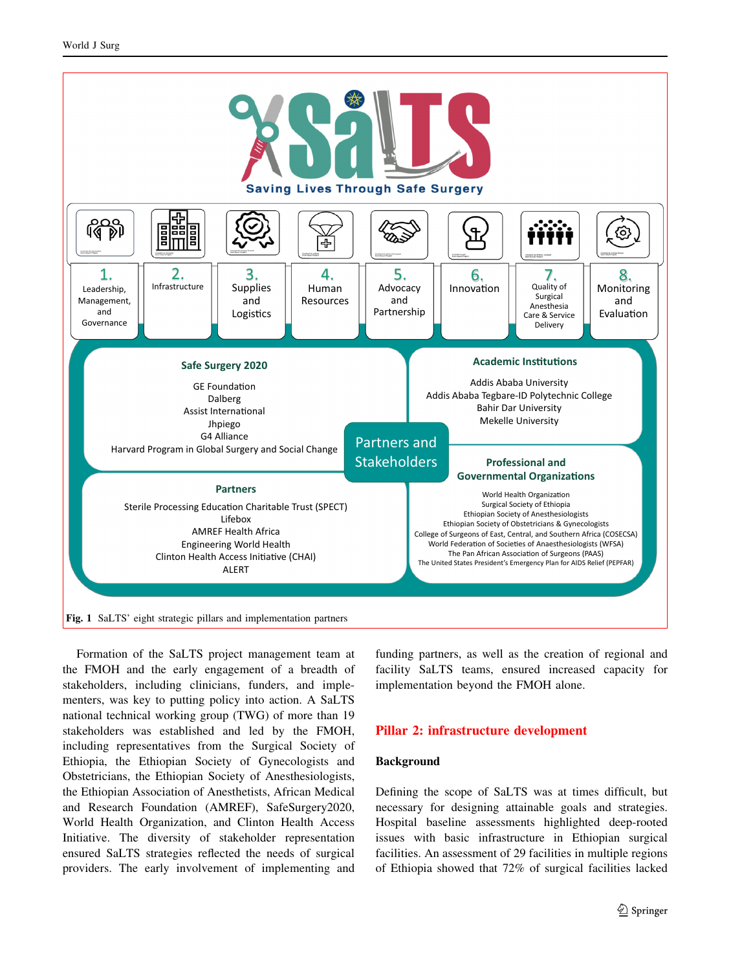<span id="page-2-0"></span>

Formation of the SaLTS project management team at the FMOH and the early engagement of a breadth of stakeholders, including clinicians, funders, and implementers, was key to putting policy into action. A SaLTS national technical working group (TWG) of more than 19 stakeholders was established and led by the FMOH, including representatives from the Surgical Society of Ethiopia, the Ethiopian Society of Gynecologists and Obstetricians, the Ethiopian Society of Anesthesiologists, the Ethiopian Association of Anesthetists, African Medical and Research Foundation (AMREF), SafeSurgery2020, World Health Organization, and Clinton Health Access Initiative. The diversity of stakeholder representation ensured SaLTS strategies reflected the needs of surgical providers. The early involvement of implementing and funding partners, as well as the creation of regional and facility SaLTS teams, ensured increased capacity for implementation beyond the FMOH alone.

#### Pillar 2: infrastructure development

#### Background

Defining the scope of SaLTS was at times difficult, but necessary for designing attainable goals and strategies. Hospital baseline assessments highlighted deep-rooted issues with basic infrastructure in Ethiopian surgical facilities. An assessment of 29 facilities in multiple regions of Ethiopia showed that 72% of surgical facilities lacked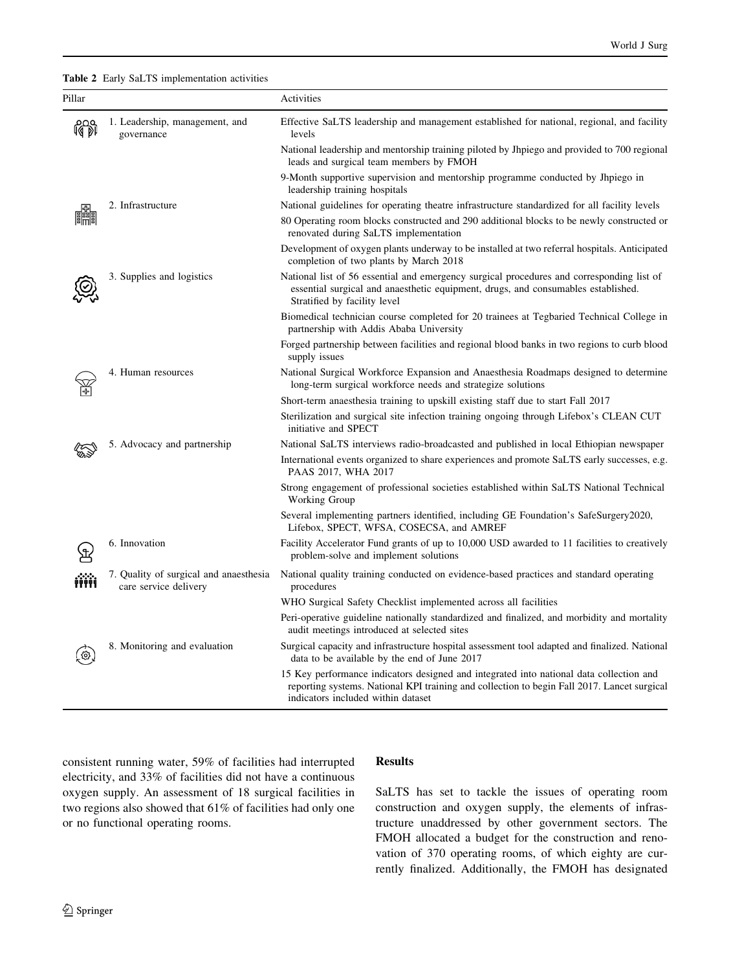<span id="page-3-0"></span>Table 2 Early SaLTS implementation activities

| Pillar |                                                                 | Activities                                                                                                                                                                                                                   |
|--------|-----------------------------------------------------------------|------------------------------------------------------------------------------------------------------------------------------------------------------------------------------------------------------------------------------|
| 皭      | 1. Leadership, management, and<br>governance                    | Effective SaLTS leadership and management established for national, regional, and facility<br>levels                                                                                                                         |
|        |                                                                 | National leadership and mentorship training piloted by Jhpiego and provided to 700 regional<br>leads and surgical team members by FMOH                                                                                       |
|        |                                                                 | 9-Month supportive supervision and mentorship programme conducted by Jhpiego in<br>leadership training hospitals                                                                                                             |
|        | 2. Infrastructure                                               | National guidelines for operating theatre infrastructure standardized for all facility levels                                                                                                                                |
|        |                                                                 | 80 Operating room blocks constructed and 290 additional blocks to be newly constructed or<br>renovated during SaLTS implementation                                                                                           |
|        |                                                                 | Development of oxygen plants underway to be installed at two referral hospitals. Anticipated<br>completion of two plants by March 2018                                                                                       |
|        | 3. Supplies and logistics                                       | National list of 56 essential and emergency surgical procedures and corresponding list of<br>essential surgical and anaesthetic equipment, drugs, and consumables established.<br>Stratified by facility level               |
|        |                                                                 | Biomedical technician course completed for 20 trainees at Tegbaried Technical College in<br>partnership with Addis Ababa University                                                                                          |
|        |                                                                 | Forged partnership between facilities and regional blood banks in two regions to curb blood<br>supply issues                                                                                                                 |
|        | 4. Human resources                                              | National Surgical Workforce Expansion and Anaesthesia Roadmaps designed to determine<br>long-term surgical workforce needs and strategize solutions                                                                          |
|        |                                                                 | Short-term anaesthesia training to upskill existing staff due to start Fall 2017                                                                                                                                             |
|        |                                                                 | Sterilization and surgical site infection training ongoing through Lifebox's CLEAN CUT<br>initiative and SPECT                                                                                                               |
|        | 5. Advocacy and partnership                                     | National SaLTS interviews radio-broadcasted and published in local Ethiopian newspaper                                                                                                                                       |
|        |                                                                 | International events organized to share experiences and promote SaLTS early successes, e.g.<br>PAAS 2017, WHA 2017                                                                                                           |
|        |                                                                 | Strong engagement of professional societies established within SaLTS National Technical<br>Working Group                                                                                                                     |
|        |                                                                 | Several implementing partners identified, including GE Foundation's SafeSurgery2020,<br>Lifebox, SPECT, WFSA, COSECSA, and AMREF                                                                                             |
|        | 6. Innovation                                                   | Facility Accelerator Fund grants of up to 10,000 USD awarded to 11 facilities to creatively<br>problem-solve and implement solutions                                                                                         |
|        | 7. Quality of surgical and anaesthesia<br>care service delivery | National quality training conducted on evidence-based practices and standard operating<br>procedures                                                                                                                         |
|        |                                                                 | WHO Surgical Safety Checklist implemented across all facilities                                                                                                                                                              |
|        |                                                                 | Peri-operative guideline nationally standardized and finalized, and morbidity and mortality<br>audit meetings introduced at selected sites                                                                                   |
|        | 8. Monitoring and evaluation                                    | Surgical capacity and infrastructure hospital assessment tool adapted and finalized. National<br>data to be available by the end of June 2017                                                                                |
|        |                                                                 | 15 Key performance indicators designed and integrated into national data collection and<br>reporting systems. National KPI training and collection to begin Fall 2017. Lancet surgical<br>indicators included within dataset |

consistent running water, 59% of facilities had interrupted electricity, and 33% of facilities did not have a continuous oxygen supply. An assessment of 18 surgical facilities in two regions also showed that 61% of facilities had only one or no functional operating rooms.

## Results

SaLTS has set to tackle the issues of operating room construction and oxygen supply, the elements of infrastructure unaddressed by other government sectors. The FMOH allocated a budget for the construction and renovation of 370 operating rooms, of which eighty are currently finalized. Additionally, the FMOH has designated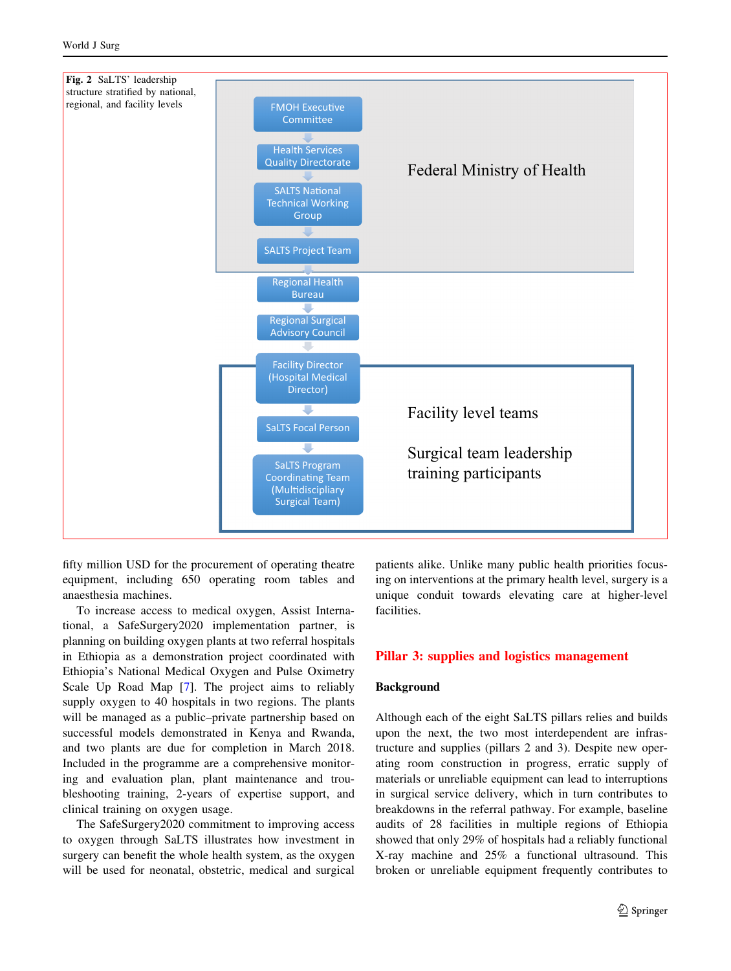<span id="page-4-0"></span>

fifty million USD for the procurement of operating theatre equipment, including 650 operating room tables and anaesthesia machines.

To increase access to medical oxygen, Assist International, a SafeSurgery2020 implementation partner, is planning on building oxygen plants at two referral hospitals in Ethiopia as a demonstration project coordinated with Ethiopia's National Medical Oxygen and Pulse Oximetry Scale Up Road Map [[7\]](#page-7-0). The project aims to reliably supply oxygen to 40 hospitals in two regions. The plants will be managed as a public–private partnership based on successful models demonstrated in Kenya and Rwanda, and two plants are due for completion in March 2018. Included in the programme are a comprehensive monitoring and evaluation plan, plant maintenance and troubleshooting training, 2-years of expertise support, and clinical training on oxygen usage.

The SafeSurgery2020 commitment to improving access to oxygen through SaLTS illustrates how investment in surgery can benefit the whole health system, as the oxygen will be used for neonatal, obstetric, medical and surgical

patients alike. Unlike many public health priorities focusing on interventions at the primary health level, surgery is a unique conduit towards elevating care at higher-level facilities.

#### Pillar 3: supplies and logistics management

### Background

Although each of the eight SaLTS pillars relies and builds upon the next, the two most interdependent are infrastructure and supplies (pillars 2 and 3). Despite new operating room construction in progress, erratic supply of materials or unreliable equipment can lead to interruptions in surgical service delivery, which in turn contributes to breakdowns in the referral pathway. For example, baseline audits of 28 facilities in multiple regions of Ethiopia showed that only 29% of hospitals had a reliably functional X-ray machine and 25% a functional ultrasound. This broken or unreliable equipment frequently contributes to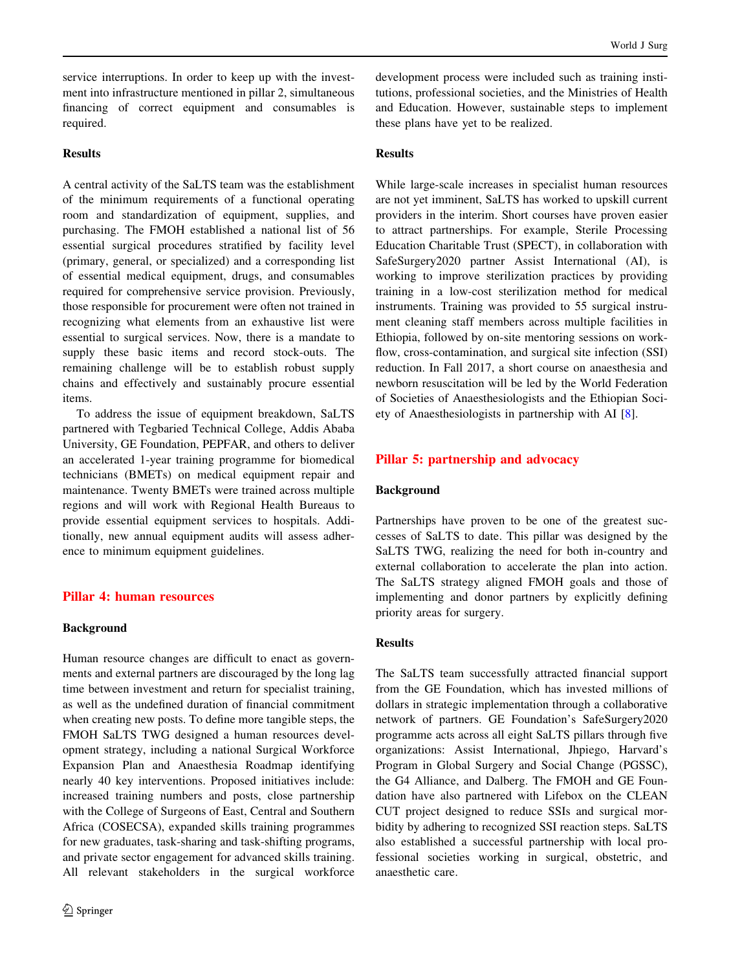service interruptions. In order to keep up with the investment into infrastructure mentioned in pillar 2, simultaneous financing of correct equipment and consumables is required.

## Results

A central activity of the SaLTS team was the establishment of the minimum requirements of a functional operating room and standardization of equipment, supplies, and purchasing. The FMOH established a national list of 56 essential surgical procedures stratified by facility level (primary, general, or specialized) and a corresponding list of essential medical equipment, drugs, and consumables required for comprehensive service provision. Previously, those responsible for procurement were often not trained in recognizing what elements from an exhaustive list were essential to surgical services. Now, there is a mandate to supply these basic items and record stock-outs. The remaining challenge will be to establish robust supply chains and effectively and sustainably procure essential items.

To address the issue of equipment breakdown, SaLTS partnered with Tegbaried Technical College, Addis Ababa University, GE Foundation, PEPFAR, and others to deliver an accelerated 1-year training programme for biomedical technicians (BMETs) on medical equipment repair and maintenance. Twenty BMETs were trained across multiple regions and will work with Regional Health Bureaus to provide essential equipment services to hospitals. Additionally, new annual equipment audits will assess adherence to minimum equipment guidelines.

## Pillar 4: human resources

#### Background

Human resource changes are difficult to enact as governments and external partners are discouraged by the long lag time between investment and return for specialist training, as well as the undefined duration of financial commitment when creating new posts. To define more tangible steps, the FMOH SaLTS TWG designed a human resources development strategy, including a national Surgical Workforce Expansion Plan and Anaesthesia Roadmap identifying nearly 40 key interventions. Proposed initiatives include: increased training numbers and posts, close partnership with the College of Surgeons of East, Central and Southern Africa (COSECSA), expanded skills training programmes for new graduates, task-sharing and task-shifting programs, and private sector engagement for advanced skills training. All relevant stakeholders in the surgical workforce development process were included such as training institutions, professional societies, and the Ministries of Health and Education. However, sustainable steps to implement these plans have yet to be realized.

## Results

While large-scale increases in specialist human resources are not yet imminent, SaLTS has worked to upskill current providers in the interim. Short courses have proven easier to attract partnerships. For example, Sterile Processing Education Charitable Trust (SPECT), in collaboration with SafeSurgery2020 partner Assist International (AI), is working to improve sterilization practices by providing training in a low-cost sterilization method for medical instruments. Training was provided to 55 surgical instrument cleaning staff members across multiple facilities in Ethiopia, followed by on-site mentoring sessions on workflow, cross-contamination, and surgical site infection (SSI) reduction. In Fall 2017, a short course on anaesthesia and newborn resuscitation will be led by the World Federation of Societies of Anaesthesiologists and the Ethiopian Society of Anaesthesiologists in partnership with AI [\[8](#page-7-0)].

#### Pillar 5: partnership and advocacy

#### Background

Partnerships have proven to be one of the greatest successes of SaLTS to date. This pillar was designed by the SaLTS TWG, realizing the need for both in-country and external collaboration to accelerate the plan into action. The SaLTS strategy aligned FMOH goals and those of implementing and donor partners by explicitly defining priority areas for surgery.

#### Results

The SaLTS team successfully attracted financial support from the GE Foundation, which has invested millions of dollars in strategic implementation through a collaborative network of partners. GE Foundation's SafeSurgery2020 programme acts across all eight SaLTS pillars through five organizations: Assist International, Jhpiego, Harvard's Program in Global Surgery and Social Change (PGSSC), the G4 Alliance, and Dalberg. The FMOH and GE Foundation have also partnered with Lifebox on the CLEAN CUT project designed to reduce SSIs and surgical morbidity by adhering to recognized SSI reaction steps. SaLTS also established a successful partnership with local professional societies working in surgical, obstetric, and anaesthetic care.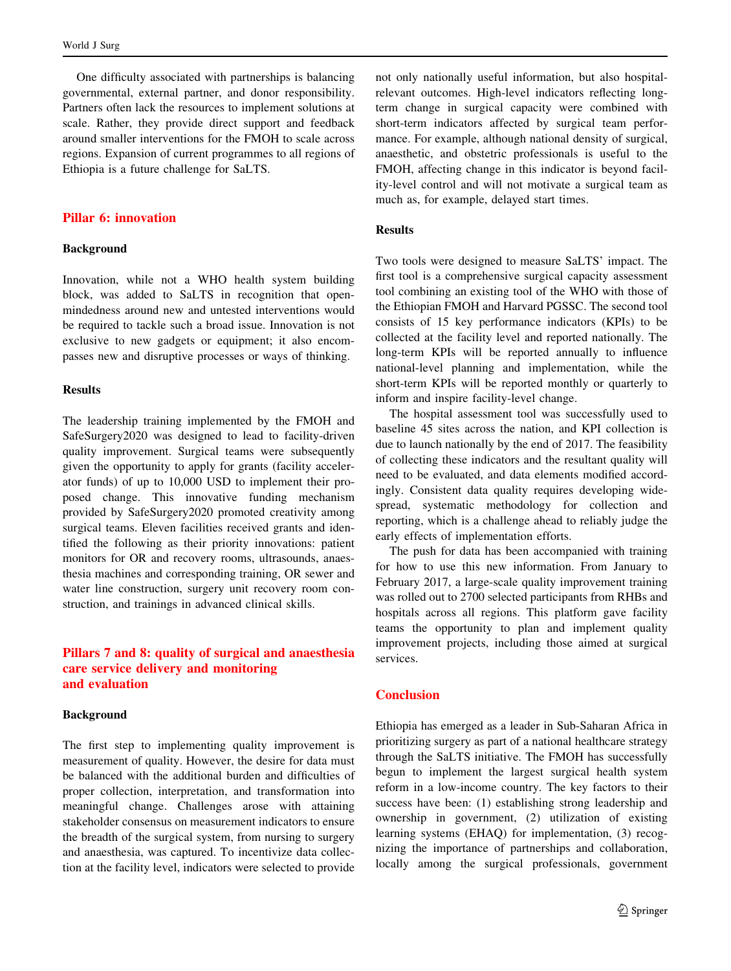One difficulty associated with partnerships is balancing governmental, external partner, and donor responsibility. Partners often lack the resources to implement solutions at scale. Rather, they provide direct support and feedback around smaller interventions for the FMOH to scale across regions. Expansion of current programmes to all regions of Ethiopia is a future challenge for SaLTS.

#### Pillar 6: innovation

#### Background

Innovation, while not a WHO health system building block, was added to SaLTS in recognition that openmindedness around new and untested interventions would be required to tackle such a broad issue. Innovation is not exclusive to new gadgets or equipment; it also encompasses new and disruptive processes or ways of thinking.

## Results

The leadership training implemented by the FMOH and SafeSurgery2020 was designed to lead to facility-driven quality improvement. Surgical teams were subsequently given the opportunity to apply for grants (facility accelerator funds) of up to 10,000 USD to implement their proposed change. This innovative funding mechanism provided by SafeSurgery2020 promoted creativity among surgical teams. Eleven facilities received grants and identified the following as their priority innovations: patient monitors for OR and recovery rooms, ultrasounds, anaesthesia machines and corresponding training, OR sewer and water line construction, surgery unit recovery room construction, and trainings in advanced clinical skills.

## Pillars 7 and 8: quality of surgical and anaesthesia care service delivery and monitoring and evaluation

#### Background

The first step to implementing quality improvement is measurement of quality. However, the desire for data must be balanced with the additional burden and difficulties of proper collection, interpretation, and transformation into meaningful change. Challenges arose with attaining stakeholder consensus on measurement indicators to ensure the breadth of the surgical system, from nursing to surgery and anaesthesia, was captured. To incentivize data collection at the facility level, indicators were selected to provide not only nationally useful information, but also hospitalrelevant outcomes. High-level indicators reflecting longterm change in surgical capacity were combined with short-term indicators affected by surgical team performance. For example, although national density of surgical, anaesthetic, and obstetric professionals is useful to the FMOH, affecting change in this indicator is beyond facility-level control and will not motivate a surgical team as much as, for example, delayed start times.

#### Results

Two tools were designed to measure SaLTS' impact. The first tool is a comprehensive surgical capacity assessment tool combining an existing tool of the WHO with those of the Ethiopian FMOH and Harvard PGSSC. The second tool consists of 15 key performance indicators (KPIs) to be collected at the facility level and reported nationally. The long-term KPIs will be reported annually to influence national-level planning and implementation, while the short-term KPIs will be reported monthly or quarterly to inform and inspire facility-level change.

The hospital assessment tool was successfully used to baseline 45 sites across the nation, and KPI collection is due to launch nationally by the end of 2017. The feasibility of collecting these indicators and the resultant quality will need to be evaluated, and data elements modified accordingly. Consistent data quality requires developing widespread, systematic methodology for collection and reporting, which is a challenge ahead to reliably judge the early effects of implementation efforts.

The push for data has been accompanied with training for how to use this new information. From January to February 2017, a large-scale quality improvement training was rolled out to 2700 selected participants from RHBs and hospitals across all regions. This platform gave facility teams the opportunity to plan and implement quality improvement projects, including those aimed at surgical services.

## **Conclusion**

Ethiopia has emerged as a leader in Sub-Saharan Africa in prioritizing surgery as part of a national healthcare strategy through the SaLTS initiative. The FMOH has successfully begun to implement the largest surgical health system reform in a low-income country. The key factors to their success have been: (1) establishing strong leadership and ownership in government, (2) utilization of existing learning systems (EHAQ) for implementation, (3) recognizing the importance of partnerships and collaboration, locally among the surgical professionals, government